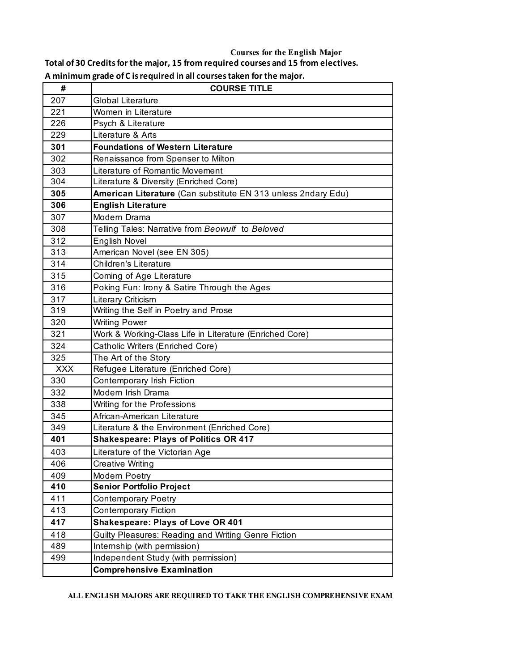## **Courses for the English Major**

**Total of 30 Credits for the major, 15 from required courses and 15 from electives.**

| A minimum grade of C is required in all courses taken for the major. |  |  |  |  |  |
|----------------------------------------------------------------------|--|--|--|--|--|
|----------------------------------------------------------------------|--|--|--|--|--|

| #          | <b>COURSE TITLE</b>                                           |  |  |  |  |
|------------|---------------------------------------------------------------|--|--|--|--|
| 207        | <b>Global Literature</b>                                      |  |  |  |  |
| 221        | Women in Literature                                           |  |  |  |  |
| 226        | Psych & Literature                                            |  |  |  |  |
| 229        | Literature & Arts                                             |  |  |  |  |
| 301        | <b>Foundations of Western Literature</b>                      |  |  |  |  |
| 302        | Renaissance from Spenser to Milton                            |  |  |  |  |
| 303        | Literature of Romantic Movement                               |  |  |  |  |
| 304        | Literature & Diversity (Enriched Core)                        |  |  |  |  |
| 305        | American Literature (Can substitute EN 313 unless 2ndary Edu) |  |  |  |  |
| 306        | <b>English Literature</b>                                     |  |  |  |  |
| 307        | Modern Drama                                                  |  |  |  |  |
| 308        | Telling Tales: Narrative from Beowulf to Beloved              |  |  |  |  |
| 312        | <b>English Novel</b>                                          |  |  |  |  |
| 313        | American Novel (see EN 305)                                   |  |  |  |  |
| 314        | <b>Children's Literature</b>                                  |  |  |  |  |
| 315        | Coming of Age Literature                                      |  |  |  |  |
| 316        | Poking Fun: Irony & Satire Through the Ages                   |  |  |  |  |
| 317        | Literary Criticism                                            |  |  |  |  |
| 319        | Writing the Self in Poetry and Prose                          |  |  |  |  |
| 320        | <b>Writing Power</b>                                          |  |  |  |  |
| 321        | Work & Working-Class Life in Literature (Enriched Core)       |  |  |  |  |
| 324        | Catholic Writers (Enriched Core)                              |  |  |  |  |
| 325        | The Art of the Story                                          |  |  |  |  |
| <b>XXX</b> | Refugee Literature (Enriched Core)                            |  |  |  |  |
| 330        | Contemporary Irish Fiction                                    |  |  |  |  |
| 332        | Modern Irish Drama                                            |  |  |  |  |
| 338        | Writing for the Professions                                   |  |  |  |  |
| 345        | African-American Literature                                   |  |  |  |  |
| 349        | Literature & the Environment (Enriched Core)                  |  |  |  |  |
| 401        | <b>Shakespeare: Plays of Politics OR 417</b>                  |  |  |  |  |
| 403        | Literature of the Victorian Age                               |  |  |  |  |
| 406        | <b>Creative Writing</b>                                       |  |  |  |  |
| 409        | Modern Poetry                                                 |  |  |  |  |
| 410        | <b>Senior Portfolio Project</b>                               |  |  |  |  |
| 411        | <b>Contemporary Poetry</b>                                    |  |  |  |  |
| 413        | <b>Contemporary Fiction</b>                                   |  |  |  |  |
| 417        | <b>Shakespeare: Plays of Love OR 401</b>                      |  |  |  |  |
| 418        | Guilty Pleasures: Reading and Writing Genre Fiction           |  |  |  |  |
| 489        | Internship (with permission)                                  |  |  |  |  |
| 499        | Independent Study (with permission)                           |  |  |  |  |
|            | <b>Comprehensive Examination</b>                              |  |  |  |  |

## ALL ENGLISH MAJORS ARE REQUIRED TO TAKE THE ENGLISH COMPREHENSIVE EXAMI